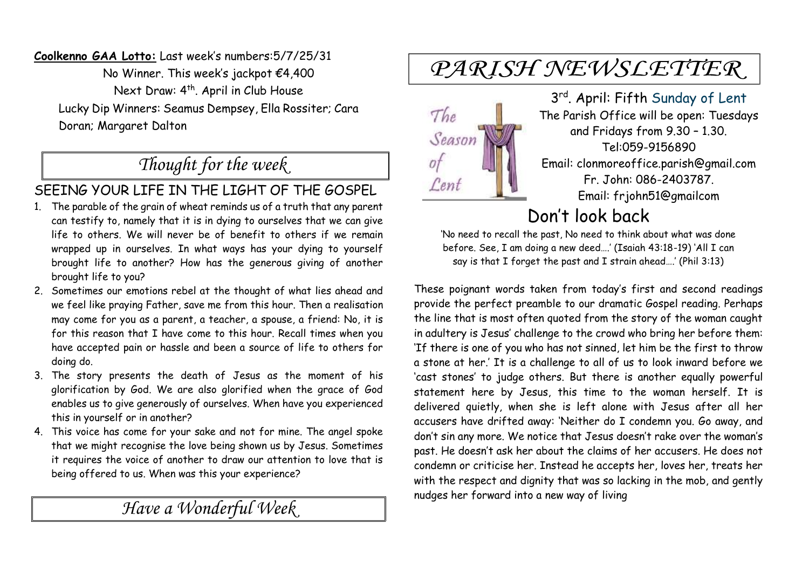**Coolkenno GAA Lotto:** Last week's numbers:5/7/25/31 No Winner. This week's jackpot €4,400 Next Draw: 4<sup>th</sup>. April in Club House Lucky Dip Winners: Seamus Dempsey, Ella Rossiter; Cara Doran; Margaret Dalton

## *Thought for the week*

#### SEEING YOUR LIFE IN THE LIGHT OF THE GOSPEL

- 1. The parable of the grain of wheat reminds us of a truth that any parent can testify to, namely that it is in dying to ourselves that we can give life to others. We will never be of benefit to others if we remain wrapped up in ourselves. In what ways has your dying to yourself brought life to another? How has the generous giving of another brought life to you?
- 2. Sometimes our emotions rebel at the thought of what lies ahead and we feel like praying Father, save me from this hour. Then a realisation may come for you as a parent, a teacher, a spouse, a friend: No, it is for this reason that I have come to this hour. Recall times when you have accepted pain or hassle and been a source of life to others for doing do.
- 3. The story presents the death of Jesus as the moment of his glorification by God. We are also glorified when the grace of God enables us to give generously of ourselves. When have you experienced this in yourself or in another?
- 4. This voice has come for your sake and not for mine. The angel spoke that we might recognise the love being shown us by Jesus. Sometimes it requires the voice of another to draw our attention to love that is being offered to us. When was this your experience?

*Have a Wonderful Week* 

# PARISH NEWSLETTER



3 rd. April: Fifth Sunday of Lent The Parish Office will be open: Tuesdays and Fridays from 9.30 – 1.30. Tel:059-9156890 Email: clonmoreoffice.parish@gmail.com Fr. John: 086-2403787. Email: frjohn51@gmailcom

## Don't look back

'No need to recall the past, No need to think about what was done before. See, I am doing a new deed….' (Isaiah 43:18-19) 'All I can say is that I forget the past and I strain ahead….' (Phil 3:13)

These poignant words taken from today's first and second readings provide the perfect preamble to our dramatic Gospel reading. Perhaps the line that is most often quoted from the story of the woman caught in adultery is Jesus' challenge to the crowd who bring her before them: 'If there is one of you who has not sinned, let him be the first to throw a stone at her.' It is a challenge to all of us to look inward before we 'cast stones' to judge others. But there is another equally powerful statement here by Jesus, this time to the woman herself. It is delivered quietly, when she is left alone with Jesus after all her accusers have drifted away: 'Neither do I condemn you. Go away, and don't sin any more. We notice that Jesus doesn't rake over the woman's past. He doesn't ask her about the claims of her accusers. He does not condemn or criticise her. Instead he accepts her, loves her, treats her with the respect and dignity that was so lacking in the mob, and gently nudges her forward into a new way of living